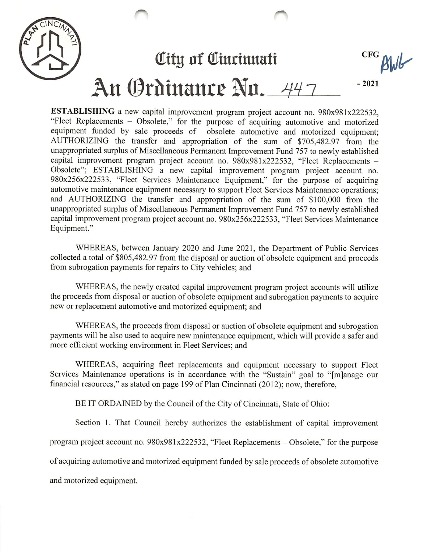

ESTABLISHING a new capital improvement program project account no. 980x981x222532, "Fleet Replacements - Obsolete," for the purpose of acquiring automotive and motorized equipment funded by sale proceeds of obsolete automotive and motorized equipment; AUTHORIZING the transfer and appropriation of the sum of \$705,482.97 from the unappropriated surplus of Miscellaneous Permanent Improvement Fund 757 to newly established capital improvement program project account no. 980x981x222532, "Fleet Replacements - Obsolete"; ESTABLISHING a new capital improvement program project account no. 980x256x222533, "Fleet Services Maintenance Equipment," for the purpose of acquiring automotive maintenance equipment necessary to support Fleet Services Maintenance operations; and AUTHORIZING the transfer and appropriation of the sum of \$100,000 from the unappropriated surplus of Miscellaneous Permanent Improvement Fund 757 to newly established capital improvement program project account no. 980x256x222533, "Fleet Services Maintenance Equipment."

WHEREAS, between January 2020 and June 2021, the Department of Public Services collected a total of \$805,482.97 from the disposal or auction of obsolete equipment and proceeds from subrogation payments for repairs to City vehicles; and

WHEREAS, the newly created capital improvement program project accounts will utilize the proceeds from disposal or auction of obsolete equipment and subrogation payments to acquire new or replacement automotive and motorized equipment; and

WHEREAS, the proceeds from disposal or auction of obsolete equipment and subrogation payments will be also used to acquire new maintenance equipment, which will provide a safer and more efficient working environment in Fleet Services; and

WHEREAS, acquiring fleet replacements and equipment necessary to support Fleet Services Maintenance operations is in accordance with the "Sustain" goal to "[m]anage our financial resources," as stated on page 199 of Plan Cincinnati (2012); now, therefore,

BE IT ORDAINED by the Council of the City of Cincinnati, State of Ohio:

Section 1. That Council hereby authorizes the establishment of capital improvement program project account no. 980x981x222532, "Fleet Replacements - Obsolete," for the purpose

of acquiring automotive and motorized equipment funded by sale proceeds of obsolete automotive

and motorized equipment.